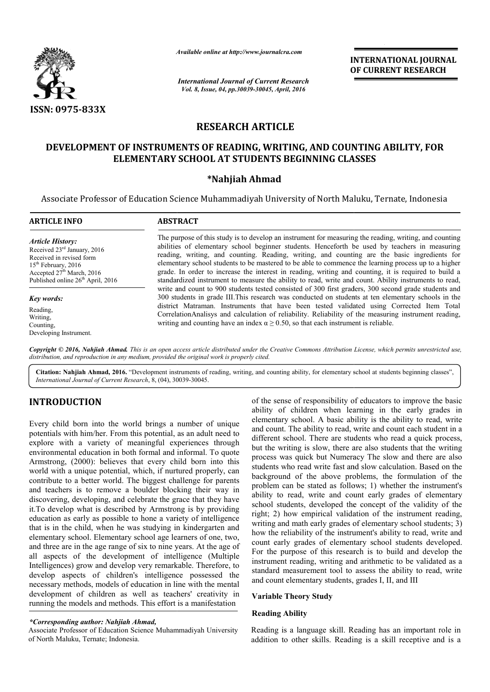

*Available online at http://www.journal http://www.journalcra.com*

*International Journal of Current Research Vol. 8, Issue, 04, pp.30039-30045, April, 2016*

**INTERNATIONAL JOURNAL OF CURRENT RESEARCH** 

# **RESEARCH ARTICLE**

## DEVELOPMENT OF INSTRUMENTS OF READING, WRITING, AND COUNTING ABILITY, FOR<br>ELEMENTARY SCHOOL AT STUDENTS BEGINNING CLASSES **ELEMENTARY SCHOOL AT STUDENTS BEGINNING CLASSES**

## **\*Nahjiah Ahmad**

Associate Professor of Education Science Muhammadiyah University of North Maluku, Ternate, Indonesia

| <b>ARTICLE INFO</b>                                                                                                                                                                                      | <b>ABSTRACT</b>                                                                                                                                                                                                                                                                                                                                                                                                                                                                                                                                                                                                                                                                                                                          |  |
|----------------------------------------------------------------------------------------------------------------------------------------------------------------------------------------------------------|------------------------------------------------------------------------------------------------------------------------------------------------------------------------------------------------------------------------------------------------------------------------------------------------------------------------------------------------------------------------------------------------------------------------------------------------------------------------------------------------------------------------------------------------------------------------------------------------------------------------------------------------------------------------------------------------------------------------------------------|--|
| <b>Article History:</b><br>Received 23 <sup>rd</sup> January, 2016<br>Received in revised form<br>$15th$ February, 2016<br>Accepted $27th March$ , 2016<br>Published online 26 <sup>th</sup> April, 2016 | The purpose of this study is to develop an instrument for measuring the reading, writing, and counting<br>abilities of elementary school beginner students. Henceforth be used by teachers in measuring<br>reading, writing, and counting. Reading, writing, and counting are the basic ingredients for<br>elementary school students to be mastered to be able to commence the learning process up to a higher<br>grade. In order to increase the interest in reading, writing and counting, it is required to build a<br>standardized instrument to measure the ability to read, write and count. Ability instruments to read,<br>write and count to 900 students tested consisted of 300 first graders, 300 second grade students and |  |
| Key words:                                                                                                                                                                                               | 300 students in grade III. This research was conducted on students at ten elementary schools in the<br>district Matraman. Instruments that have been tested validated using Corrected Item Total<br>Correlation Analisys and calculation of reliability. Reliability of the measuring instrument reading,<br>writing and counting have an index $\alpha \ge 0.50$ , so that each instrument is reliable.                                                                                                                                                                                                                                                                                                                                 |  |
| Reading,<br>Writing.<br>Counting,<br>Developing Instrument.                                                                                                                                              |                                                                                                                                                                                                                                                                                                                                                                                                                                                                                                                                                                                                                                                                                                                                          |  |

Copyright © 2016, Nahjiah Ahmad. This is an open access article distributed under the Creative Commons Attribution License, which permits unrestricted use, *distribution, and reproduction in any medium, provided the original work is properly cited.*

Citation: Nahjiah Ahmad, 2016. "Development instruments of reading, writing, and counting ability, for elementary school at students beginning classes", *International Journal of Current Research*, 8, (04), 30039 30039-30045.

# **INTRODUCTION**

Every child born into the world brings a number of unique potentials with him/her. From this potential, as an adult need to explore with a variety of meaningful experiences through environmental education in both formal and informal. To quote Armstrong, (2000): believes that every child born into this world with a unique potential, which, if nurtured properly, can contribute to a better world. The biggest challenge for parents and teachers is to remove a boulder blocking their way in discovering, developing, and celebrate the grace that they have it.To develop what is described by Armstrong is by providing education as early as possible to hone a variety of intelligence that is in the child, when he was studying in kindergarten and elementary school. Elementary school age learners of one, two, and three are in the age range of six to nine years. At the age of all aspects of the development of intelligence (Multiple Intelligences) grow and develop very remarkable. Therefore, to develop aspects of children's intelligence possessed the necessary methods, models of education in line with the mental development of children as well as teachers' creativity in running the models and methods. This effort is a manifestation of the sense of responsibility of educators to improve the basic of responsibility of children when learning in the early grades in elementary school. A basic ability is the ability to read, write and counterparts to the c

Associate Professor of Education Science Muhammadiyah University of North Maluku, Ternate; Indonesia.

ability of children when learning in the early grades in elementary school. A basic ability is the ability to read, write and count. The ability to read, write and count each student in a different school. There are students who read a quick process, but the writing is slow, there are also students that the writing process was quick but Numeracy The slow and there are also of the sense of responsibility of educators to improve the basic ability of children when learning in the early grades in elementary school. A basic ability is the ability to read, write and count are and count are and cou background of the above problems, the formulation of the problem can be stated as follows; 1) whether the instrument's ability to read, write and count early grades of elementary school students, developed the concept of the validity of the right; 2) how empirical validation of the instrument reading, writing and math early grades of elementary school students; 3) how the reliability of the instrument's ability to read, write and count early grades of elementary school students developed. For the purpose of this research is to build and develop the instrument reading, writing and arithmetic to be validated as a standard measurement tool to assess the ability to read, write and count elementary students, grades I, II, and III und of the above problems, the formulation of the instrument'<br>to read, write and count early grades of elementary<br>students, developed the concept of the validity of the<br>) how empirical validation of the instrument reading<br> **EXERVATIONAL OF CURRENT RESEARCH**<br> **Search**<br> **Search**<br> **CF. TING, AND COUNTING ABILITY, FOR**<br> **EEGINNING CLASSES**<br> **CF. TING, AND COUNTING ABILITY, FOR**<br> **EEGINNING CLASSES**<br> **CF. TING, AND COUNTING ABILITY, FOR**<br> **EEGINN** 

## **Variable Theory Study**

#### **Reading Ability**

Reading is a language skill. Reading has an important role in addition to other skills. Reading is a skill receptive and is a

*<sup>\*</sup>Corresponding author: Nahjiah Ahmad,*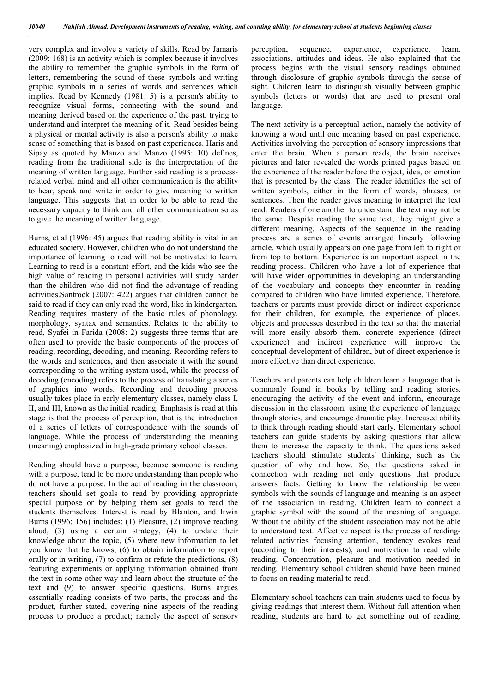very complex and involve a variety of skills. Read by Jamaris (2009: 168) is an activity which is complex because it involves the ability to remember the graphic symbols in the form of letters, remembering the sound of these symbols and writing graphic symbols in a series of words and sentences which implies. Read by Kennedy (1981: 5) is a person's ability to recognize visual forms, connecting with the sound and meaning derived based on the experience of the past, trying to understand and interpret the meaning of it. Read besides being a physical or mental activity is also a person's ability to make sense of something that is based on past experiences. Haris and Sipay as quoted by Manzo and Manzo (1995: 10) defines, reading from the traditional side is the interpretation of the meaning of written language. Further said reading is a processrelated verbal mind and all other communication is the ability to hear, speak and write in order to give meaning to written language. This suggests that in order to be able to read the necessary capacity to think and all other communication so as to give the meaning of written language.

Burns, et al (1996: 45) argues that reading ability is vital in an educated society. However, children who do not understand the importance of learning to read will not be motivated to learn. Learning to read is a constant effort, and the kids who see the high value of reading in personal activities will study harder than the children who did not find the advantage of reading activities.Santrock (2007: 422) argues that children cannot be said to read if they can only read the word, like in kindergarten. Reading requires mastery of the basic rules of phonology, morphology, syntax and semantics. Relates to the ability to read, Syafei in Farida (2008: 2) suggests three terms that are often used to provide the basic components of the process of reading, recording, decoding, and meaning. Recording refers to the words and sentences, and then associate it with the sound corresponding to the writing system used, while the process of decoding (encoding) refers to the process of translating a series of graphics into words. Recording and decoding process usually takes place in early elementary classes, namely class I, II, and III, known as the initial reading. Emphasis is read at this stage is that the process of perception, that is the introduction of a series of letters of correspondence with the sounds of language. While the process of understanding the meaning (meaning) emphasized in high-grade primary school classes.

Reading should have a purpose, because someone is reading with a purpose, tend to be more understanding than people who do not have a purpose. In the act of reading in the classroom, teachers should set goals to read by providing appropriate special purpose or by helping them set goals to read the students themselves. Interest is read by Blanton, and Irwin Burns (1996: 156) includes: (1) Pleasure, (2) improve reading aloud, (3) using a certain strategy, (4) to update their knowledge about the topic, (5) where new information to let you know that he knows, (6) to obtain information to report orally or in writing, (7) to confirm or refute the predictions, (8) featuring experiments or applying information obtained from the text in some other way and learn about the structure of the text and (9) to answer specific questions. Burns argues essentially reading consists of two parts, the process and the product, further stated, covering nine aspects of the reading process to produce a product; namely the aspect of sensory perception, sequence, experience, experience, learn, associations, attitudes and ideas. He also explained that the process begins with the visual sensory readings obtained through disclosure of graphic symbols through the sense of sight. Children learn to distinguish visually between graphic symbols (letters or words) that are used to present oral language.

The next activity is a perceptual action, namely the activity of knowing a word until one meaning based on past experience. Activities involving the perception of sensory impressions that enter the brain. When a person reads, the brain receives pictures and later revealed the words printed pages based on the experience of the reader before the object, idea, or emotion that is presented by the class. The reader identifies the set of written symbols, either in the form of words, phrases, or sentences. Then the reader gives meaning to interpret the text read. Readers of one another to understand the text may not be the same. Despite reading the same text, they might give a different meaning. Aspects of the sequence in the reading process are a series of events arranged linearly following article, which usually appears on one page from left to right or from top to bottom. Experience is an important aspect in the reading process. Children who have a lot of experience that will have wider opportunities in developing an understanding of the vocabulary and concepts they encounter in reading compared to children who have limited experience. Therefore, teachers or parents must provide direct or indirect experience for their children, for example, the experience of places, objects and processes described in the text so that the material will more easily absorb them. concrete experience (direct experience) and indirect experience will improve the conceptual development of children, but of direct experience is more effective than direct experience.

Teachers and parents can help children learn a language that is commonly found in books by telling and reading stories, encouraging the activity of the event and inform, encourage discussion in the classroom, using the experience of language through stories, and encourage dramatic play. Increased ability to think through reading should start early. Elementary school teachers can guide students by asking questions that allow them to increase the capacity to think. The questions asked teachers should stimulate students' thinking, such as the question of why and how. So, the questions asked in connection with reading not only questions that produce answers facts. Getting to know the relationship between symbols with the sounds of language and meaning is an aspect of the association in reading. Children learn to connect a graphic symbol with the sound of the meaning of language. Without the ability of the student association may not be able to understand text. Affective aspect is the process of readingrelated activities focusing attention, tendency evokes read (according to their interests), and motivation to read while reading. Concentration, pleasure and motivation needed in reading. Elementary school children should have been trained to focus on reading material to read.

Elementary school teachers can train students used to focus by giving readings that interest them. Without full attention when reading, students are hard to get something out of reading.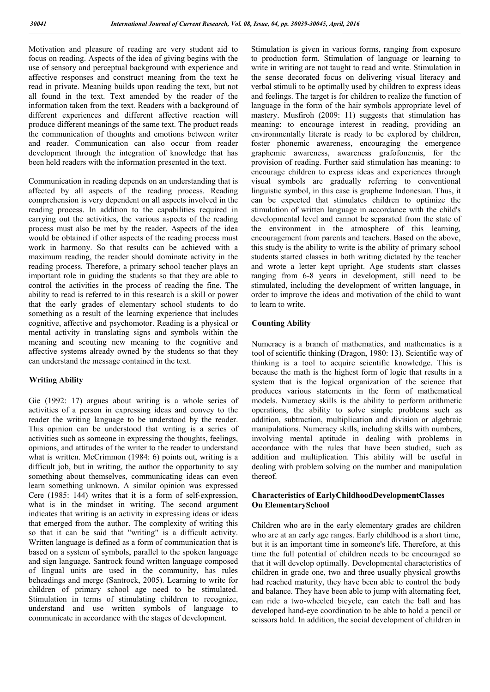Motivation and pleasure of reading are very student aid to focus on reading. Aspects of the idea of giving begins with the use of sensory and perceptual background with experience and affective responses and construct meaning from the text he read in private. Meaning builds upon reading the text, but not all found in the text. Text amended by the reader of the information taken from the text. Readers with a background of different experiences and different affective reaction will produce different meanings of the same text. The product reads the communication of thoughts and emotions between writer and reader. Communication can also occur from reader development through the integration of knowledge that has been held readers with the information presented in the text.

Communication in reading depends on an understanding that is affected by all aspects of the reading process. Reading comprehension is very dependent on all aspects involved in the reading process. In addition to the capabilities required in carrying out the activities, the various aspects of the reading process must also be met by the reader. Aspects of the idea would be obtained if other aspects of the reading process must work in harmony. So that results can be achieved with a maximum reading, the reader should dominate activity in the reading process. Therefore, a primary school teacher plays an important role in guiding the students so that they are able to control the activities in the process of reading the fine. The ability to read is referred to in this research is a skill or power that the early grades of elementary school students to do something as a result of the learning experience that includes cognitive, affective and psychomotor. Reading is a physical or mental activity in translating signs and symbols within the meaning and scouting new meaning to the cognitive and affective systems already owned by the students so that they can understand the message contained in the text.

## **Writing Ability**

Gie (1992: 17) argues about writing is a whole series of activities of a person in expressing ideas and convey to the reader the writing language to be understood by the reader. This opinion can be understood that writing is a series of activities such as someone in expressing the thoughts, feelings, opinions, and attitudes of the writer to the reader to understand what is written. McCrimmon (1984: 6) points out, writing is a difficult job, but in writing, the author the opportunity to say something about themselves, communicating ideas can even learn something unknown. A similar opinion was expressed Cere (1985: 144) writes that it is a form of self-expression, what is in the mindset in writing. The second argument indicates that writing is an activity in expressing ideas or ideas that emerged from the author. The complexity of writing this so that it can be said that "writing" is a difficult activity. Written language is defined as a form of communication that is based on a system of symbols, parallel to the spoken language and sign language. Santrock found written language composed of lingual units are used in the community, has rules beheadings and merge (Santrock, 2005). Learning to write for children of primary school age need to be stimulated. Stimulation in terms of stimulating children to recognize, understand and use written symbols of language to communicate in accordance with the stages of development.

Stimulation is given in various forms, ranging from exposure to production form. Stimulation of language or learning to write in writing are not taught to read and write. Stimulation in the sense decorated focus on delivering visual literacy and verbal stimuli to be optimally used by children to express ideas and feelings. The target is for children to realize the function of language in the form of the hair symbols appropriate level of mastery. Musfiroh (2009: 11) suggests that stimulation has meaning: to encourage interest in reading, providing an environmentally literate is ready to be explored by children, foster phonemic awareness, encouraging the emergence graphemic awareness, awareness grafofonemis, for the provision of reading. Further said stimulation has meaning: to encourage children to express ideas and experiences through visual symbols are gradually referring to conventional linguistic symbol, in this case is grapheme Indonesian. Thus, it can be expected that stimulates children to optimize the stimulation of written language in accordance with the child's developmental level and cannot be separated from the state of the environment in the atmosphere of this learning, encouragement from parents and teachers. Based on the above, this study is the ability to write is the ability of primary school students started classes in both writing dictated by the teacher and wrote a letter kept upright. Age students start classes ranging from 6-8 years in development, still need to be stimulated, including the development of written language, in order to improve the ideas and motivation of the child to want to learn to write.

#### **Counting Ability**

Numeracy is a branch of mathematics, and mathematics is a tool of scientific thinking (Dragon, 1980: 13). Scientific way of thinking is a tool to acquire scientific knowledge. This is because the math is the highest form of logic that results in a system that is the logical organization of the science that produces various statements in the form of mathematical models. Numeracy skills is the ability to perform arithmetic operations, the ability to solve simple problems such as addition, subtraction, multiplication and division or algebraic manipulations. Numeracy skills, including skills with numbers, involving mental aptitude in dealing with problems in accordance with the rules that have been studied, such as addition and multiplication. This ability will be useful in dealing with problem solving on the number and manipulation thereof.

## **Characteristics of EarlyChildhoodDevelopmentClasses On ElementarySchool**

Children who are in the early elementary grades are children who are at an early age ranges. Early childhood is a short time, but it is an important time in someone's life. Therefore, at this time the full potential of children needs to be encouraged so that it will develop optimally. Developmental characteristics of children in grade one, two and three usually physical growths had reached maturity, they have been able to control the body and balance. They have been able to jump with alternating feet, can ride a two-wheeled bicycle, can catch the ball and has developed hand-eye coordination to be able to hold a pencil or scissors hold. In addition, the social development of children in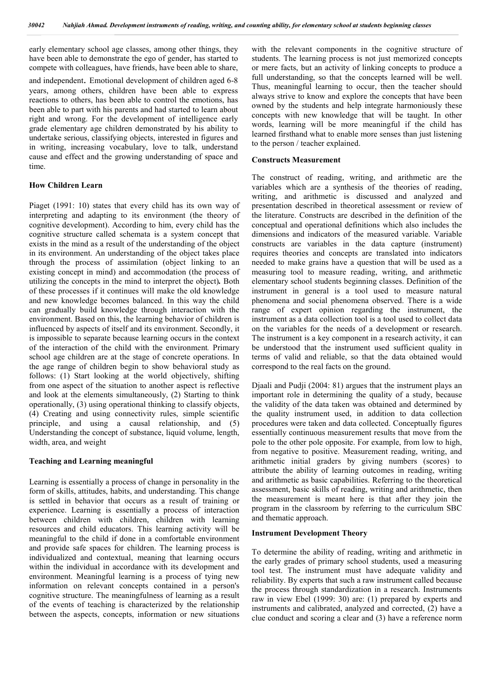early elementary school age classes, among other things, they have been able to demonstrate the ego of gender, has started to compete with colleagues, have friends, have been able to share,

and independent. Emotional development of children aged 6-8 years, among others, children have been able to express reactions to others, has been able to control the emotions, has been able to part with his parents and had started to learn about right and wrong. For the development of intelligence early grade elementary age children demonstrated by his ability to undertake serious, classifying objects, interested in figures and in writing, increasing vocabulary, love to talk, understand cause and effect and the growing understanding of space and time.

## **How Children Learn**

Piaget (1991: 10) states that every child has its own way of interpreting and adapting to its environment (the theory of cognitive development). According to him, every child has the cognitive structure called schemata is a system concept that exists in the mind as a result of the understanding of the object in its environment. An understanding of the object takes place through the process of assimilation (object linking to an existing concept in mind) and accommodation (the process of utilizing the concepts in the mind to interpret the object)*.* Both of these processes if it continues will make the old knowledge and new knowledge becomes balanced. In this way the child can gradually build knowledge through interaction with the environment. Based on this, the learning behavior of children is influenced by aspects of itself and its environment. Secondly, it is impossible to separate because learning occurs in the context of the interaction of the child with the environment*.* Primary school age children are at the stage of concrete operations. In the age range of children begin to show behavioral study as follows: (1) Start looking at the world objectively, shifting from one aspect of the situation to another aspect is reflective and look at the elements simultaneously, (2) Starting to think operationally, (3) using operational thinking to classify objects, (4) Creating and using connectivity rules, simple scientific principle, and using a causal relationship, and (5) Understanding the concept of substance, liquid volume, length, width, area, and weight

#### **Teaching and Learning meaningful**

Learning is essentially a process of change in personality in the form of skills, attitudes, habits, and understanding. This change is settled in behavior that occurs as a result of training or experience. Learning is essentially a process of interaction between children with children, children with learning resources and child educators. This learning activity will be meaningful to the child if done in a comfortable environment and provide safe spaces for children. The learning process is individualized and contextual, meaning that learning occurs within the individual in accordance with its development and environment. Meaningful learning is a process of tying new information on relevant concepts contained in a person's cognitive structure. The meaningfulness of learning as a result of the events of teaching is characterized by the relationship between the aspects, concepts, information or new situations

with the relevant components in the cognitive structure of students. The learning process is not just memorized concepts or mere facts, but an activity of linking concepts to produce a full understanding, so that the concepts learned will be well. Thus, meaningful learning to occur, then the teacher should always strive to know and explore the concepts that have been owned by the students and help integrate harmoniously these concepts with new knowledge that will be taught. In other words, learning will be more meaningful if the child has learned firsthand what to enable more senses than just listening to the person / teacher explained.

#### **Constructs Measurement**

The construct of reading, writing, and arithmetic are the variables which are a synthesis of the theories of reading, writing, and arithmetic is discussed and analyzed and presentation described in theoretical assessment or review of the literature. Constructs are described in the definition of the conceptual and operational definitions which also includes the dimensions and indicators of the measured variable. Variable constructs are variables in the data capture (instrument) requires theories and concepts are translated into indicators needed to make grains have a question that will be used as a measuring tool to measure reading, writing, and arithmetic elementary school students beginning classes. Definition of the instrument in general is a tool used to measure natural phenomena and social phenomena observed. There is a wide range of expert opinion regarding the instrument, the instrument as a data collection tool is a tool used to collect data on the variables for the needs of a development or research. The instrument is a key component in a research activity, it can be understood that the instrument used sufficient quality in terms of valid and reliable, so that the data obtained would correspond to the real facts on the ground.

Djaali and Pudji (2004: 81) argues that the instrument plays an important role in determining the quality of a study, because the validity of the data taken was obtained and determined by the quality instrument used, in addition to data collection procedures were taken and data collected. Conceptually figures essentially continuous measurement results that move from the pole to the other pole opposite. For example, from low to high, from negative to positive. Measurement reading, writing, and arithmetic initial graders by giving numbers (scores) to attribute the ability of learning outcomes in reading, writing and arithmetic as basic capabilities. Referring to the theoretical assessment, basic skills of reading, writing and arithmetic, then the measurement is meant here is that after they join the program in the classroom by referring to the curriculum SBC and thematic approach.

#### **Instrument Development Theory**

To determine the ability of reading, writing and arithmetic in the early grades of primary school students, used a measuring tool test. The instrument must have adequate validity and reliability. By experts that such a raw instrument called because the process through standardization in a research. Instruments raw in view Ebel (1999: 30) are: (1) prepared by experts and instruments and calibrated, analyzed and corrected, (2) have a clue conduct and scoring a clear and (3) have a reference norm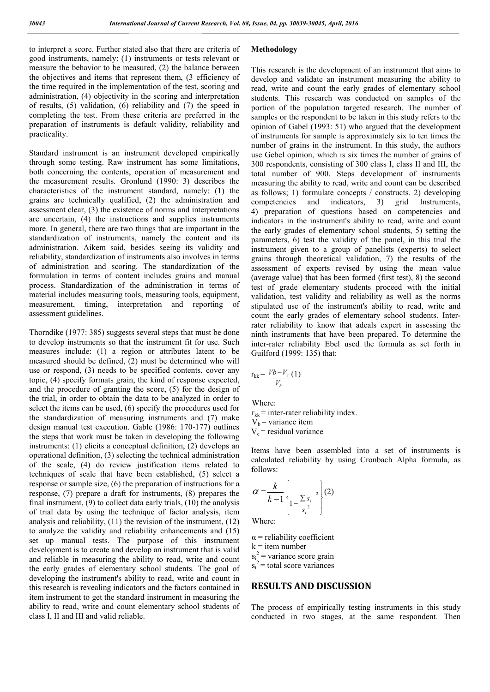to interpret a score. Further stated also that there are criteria of good instruments, namely: (1) instruments or tests relevant or measure the behavior to be measured, (2) the balance between the objectives and items that represent them, (3 efficiency of the time required in the implementation of the test, scoring and administration, (4) objectivity in the scoring and interpretation of results, (5) validation, (6) reliability and (7) the speed in completing the test. From these criteria are preferred in the preparation of instruments is default validity, reliability and practicality.

Standard instrument is an instrument developed empirically through some testing. Raw instrument has some limitations, both concerning the contents, operation of measurement and the measurement results. Gronlund (1990: 3) describes the characteristics of the instrument standard, namely: (1) the grains are technically qualified, (2) the administration and assessment clear, (3) the existence of norms and interpretations are uncertain, (4) the instructions and supplies instruments more. In general, there are two things that are important in the standardization of instruments, namely the content and its administration. Aikem said, besides seeing its validity and reliability, standardization of instruments also involves in terms of administration and scoring. The standardization of the formulation in terms of content includes grains and manual process. Standardization of the administration in terms of material includes measuring tools, measuring tools, equipment, measurement, timing, interpretation and reporting of assessment guidelines.

Thorndike (1977: 385) suggests several steps that must be done to develop instruments so that the instrument fit for use. Such measures include: (1) a region or attributes latent to be measured should be defined, (2) must be determined who will use or respond, (3) needs to be specified contents, cover any topic, (4) specify formats grain, the kind of response expected, and the procedure of granting the score, (5) for the design of the trial, in order to obtain the data to be analyzed in order to select the items can be used, (6) specify the procedures used for the standardization of measuring instruments and (7) make design manual test execution. Gable (1986: 170-177) outlines the steps that work must be taken in developing the following instruments: (1) elicits a conceptual definition, (2) develops an operational definition, (3) selecting the technical administration of the scale, (4) do review justification items related to techniques of scale that have been established, (5) select a response or sample size, (6) the preparation of instructions for a response, (7) prepare a draft for instruments, (8) prepares the final instrument, (9) to collect data early trials, (10) the analysis of trial data by using the technique of factor analysis, item analysis and reliability, (11) the revision of the instrument, (12) to analyze the validity and reliability enhancements and (15) set up manual tests. The purpose of this instrument development is to create and develop an instrument that is valid and reliable in measuring the ability to read, write and count the early grades of elementary school students. The goal of developing the instrument's ability to read, write and count in this research is revealing indicators and the factors contained in item instrument to get the standard instrument in measuring the ability to read, write and count elementary school students of class I, II and III and valid reliable.

#### **Methodology**

This research is the development of an instrument that aims to develop and validate an instrument measuring the ability to read, write and count the early grades of elementary school students. This research was conducted on samples of the portion of the population targeted research. The number of samples or the respondent to be taken in this study refers to the opinion of Gabel (1993: 51) who argued that the development of instruments for sample is approximately six to ten times the number of grains in the instrument. In this study, the authors use Gebel opinion, which is six times the number of grains of 300 respondents, consisting of 300 class I, class II and III, the total number of 900. Steps development of instruments measuring the ability to read, write and count can be described as follows; 1) formulate concepts / constructs. 2) developing competencies and indicators, 3) grid Instruments, 4) preparation of questions based on competencies and indicators in the instrument's ability to read, write and count the early grades of elementary school students, 5) setting the parameters, 6) test the validity of the panel, in this trial the instrument given to a group of panelists (experts) to select grains through theoretical validation, 7) the results of the assessment of experts revised by using the mean value (average value) that has been formed (first test), 8) the second test of grade elementary students proceed with the initial validation, test validity and reliability as well as the norms stipulated use of the instrument's ability to read, write and count the early grades of elementary school students. Interrater reliability to know that adeals expert in assessing the ninth instruments that have been prepared. To determine the inter-rater reliability Ebel used the formula as set forth in Guilford (1999: 135) that:

$$
\mathbf{r}_{\mathbf{k}\mathbf{k}} = \frac{Vb - V_e}{V_b} (1)
$$

Where:

 $r_{kk}$  = inter-rater reliability index.  $V<sub>b</sub>$  = variance item  $V_e$  = residual variance

Items have been assembled into a set of instruments is calculated reliability by using Cronbach Alpha formula, as follows:

$$
\alpha = \frac{k}{k-1} \left\{ \sum_{\substack{s_i \\ s_i}} 2 \right\} (2)
$$

Where:

 $\alpha$  = reliability coefficient  $k =$ item number  $s_i^2$  = variance score grain  $s_t^2$  = total score variances

### **RESULTS AND DISCUSSION**

The process of empirically testing instruments in this study conducted in two stages, at the same respondent. Then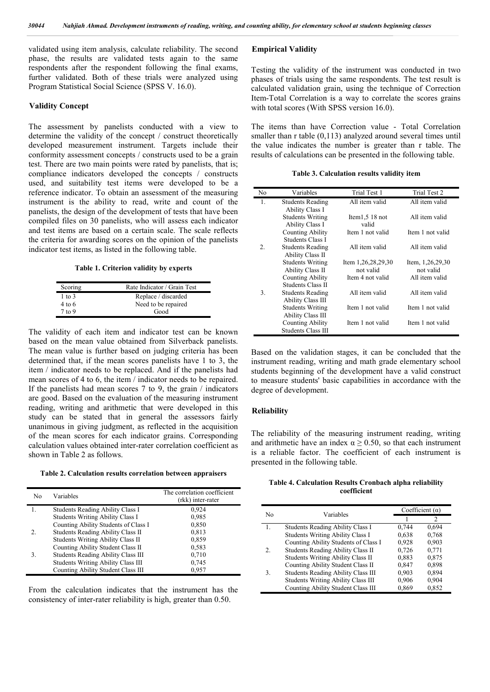validated using item analysis, calculate reliability. The second phase, the results are validated tests again to the same respondents after the respondent following the final exams, further validated. Both of these trials were analyzed using Program Statistical Social Science (SPSS V. 16.0).

#### **Validity Concept**

The assessment by panelists conducted with a view to determine the validity of the concept / construct theoretically developed measurement instrument. Targets include their conformity assessment concepts / constructs used to be a grain test. There are two main points were rated by panelists, that is; compliance indicators developed the concepts / constructs used, and suitability test items were developed to be a reference indicator. To obtain an assessment of the measuring instrument is the ability to read, write and count of the panelists, the design of the development of tests that have been compiled files on 30 panelists, who will assess each indicator and test items are based on a certain scale. The scale reflects the criteria for awarding scores on the opinion of the panelists indicator test items, as listed in the following table.

**Table 1. Criterion validity by experts**

| Scoring           | Rate Indicator / Grain Test |
|-------------------|-----------------------------|
| $1 \text{ to } 3$ | Replace / discarded         |
| $4$ to 6          | Need to be repaired         |
| 7 to 9            | Good                        |
|                   |                             |

The validity of each item and indicator test can be known based on the mean value obtained from Silverback panelists. The mean value is further based on judging criteria has been determined that, if the mean scores panelists have 1 to 3, the item / indicator needs to be replaced. And if the panelists had mean scores of 4 to 6, the item / indicator needs to be repaired. If the panelists had mean scores 7 to 9, the grain / indicators are good. Based on the evaluation of the measuring instrument reading, writing and arithmetic that were developed in this study can be stated that in general the assessors fairly unanimous in giving judgment, as reflected in the acquisition of the mean scores for each indicator grains. Corresponding calculation values obtained inter-rater correlation coefficient as shown in Table 2 as follows.

**Table 2. Calculation results correlation between appraisers**

| No               | Variables                                 | The correlation coefficient<br>(rkk) inter-rater |
|------------------|-------------------------------------------|--------------------------------------------------|
|                  | Students Reading Ability Class I          | 0,924                                            |
|                  | <b>Students Writing Ability Class I</b>   | 0,985                                            |
|                  | Counting Ability Students of Class I      | 0,850                                            |
| $\mathfrak{2}$ . | Students Reading Ability Class II         | 0,813                                            |
|                  | <b>Students Writing Ability Class II</b>  | 0,859                                            |
|                  | Counting Ability Student Class II         | 0,583                                            |
| 3.               | Students Reading Ability Class III        | 0,710                                            |
|                  | <b>Students Writing Ability Class III</b> | 0,745                                            |
|                  | Counting Ability Student Class III        | 0,957                                            |

From the calculation indicates that the instrument has the consistency of inter-rater reliability is high, greater than 0.50.

#### **Empirical Validity**

Testing the validity of the instrument was conducted in two phases of trials using the same respondents. The test result is calculated validation grain, using the technique of Correction Item-Total Correlation is a way to correlate the scores grains with total scores (With SPSS version 16.0).

The items than have Correction value - Total Correlation smaller than r table (0,113) analyzed around several times until the value indicates the number is greater than r table. The results of calculations can be presented in the following table.

**Table 3. Calculation results validity item**

| No               | Variables                | Trial Test 1       | Trial Test 2     |
|------------------|--------------------------|--------------------|------------------|
| 1.               | <b>Students Reading</b>  | All item valid     | All item valid   |
|                  | <b>Ability Class I</b>   |                    |                  |
|                  | <b>Students Writing</b>  | Item $1,5$ 18 not  | All item valid   |
|                  | <b>Ability Class I</b>   | valid              |                  |
|                  | <b>Counting Ability</b>  | Item 1 not valid   | Item 1 not valid |
|                  | Students Class I         |                    |                  |
| $\overline{2}$ . | <b>Students Reading</b>  | All item valid     | All item valid   |
|                  | Ability Class II         |                    |                  |
|                  | <b>Students Writing</b>  | Item 1,26,28,29,30 | Item, 1,26,29,30 |
|                  | Ability Class II         | not valid          | not valid        |
|                  | Counting Ability         | Item 4 not valid   | All item valid   |
|                  | Students Class II        |                    |                  |
| 3.               | <b>Students Reading</b>  | All item valid     | All item valid   |
|                  | <b>Ability Class III</b> |                    |                  |
|                  | <b>Students Writing</b>  | Item 1 not valid   | Item 1 not valid |
|                  | Ability Class III        |                    |                  |
|                  | Counting Ability         | Item 1 not valid   | Item 1 not valid |
|                  | Students Class III       |                    |                  |

Based on the validation stages, it can be concluded that the instrument reading, writing and math grade elementary school students beginning of the development have a valid construct to measure students' basic capabilities in accordance with the degree of development.

#### **Reliability**

The reliability of the measuring instrument reading, writing and arithmetic have an index  $\alpha \ge 0.50$ , so that each instrument is a reliable factor. The coefficient of each instrument is presented in the following table.

#### **Table 4. Calculation Results Cronbach alpha reliability coefficient**

| No          | Variables                                 | Coefficient $(a)$ |                |
|-------------|-------------------------------------------|-------------------|----------------|
|             |                                           |                   | $\mathfrak{D}$ |
| 1.          | <b>Students Reading Ability Class I</b>   | 0,744             | 0,694          |
|             | <b>Students Writing Ability Class I</b>   | 0.638             | 0,768          |
|             | Counting Ability Students of Class I      | 0.928             | 0.903          |
| $2^{\circ}$ | Students Reading Ability Class II         | 0,726             | 0,771          |
|             | <b>Students Writing Ability Class II</b>  | 0.883             | 0,875          |
|             | Counting Ability Student Class II         | 0,847             | 0,898          |
| 3.          | Students Reading Ability Class III        | 0.903             | 0,894          |
|             | <b>Students Writing Ability Class III</b> | 0.906             | 0.904          |
|             | Counting Ability Student Class III        | 0,869             | 0,852          |